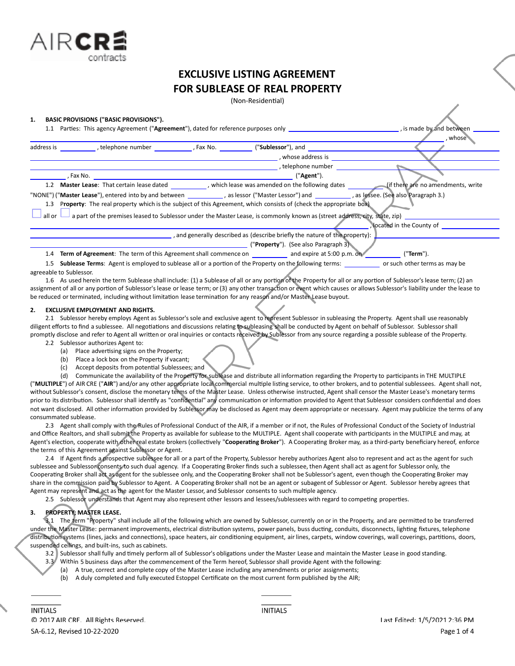

(Non-Residential)

#### **1. BASIC PROVISIONS ("BASIC PROVISIONS").**

 $IRC$ 

| Parties: This agency Agreement ("Agreement"), dated for reference purposes only<br>1.1                                                                    |                                                                                                                            |                                               | , is made by and between |  |
|-----------------------------------------------------------------------------------------------------------------------------------------------------------|----------------------------------------------------------------------------------------------------------------------------|-----------------------------------------------|--------------------------|--|
|                                                                                                                                                           |                                                                                                                            |                                               | , whose                  |  |
| address is<br>telephone number The Read Pay Case No.                                                                                                      |                                                                                                                            | ("Sublessor"), and                            |                          |  |
|                                                                                                                                                           |                                                                                                                            | , whose address is                            |                          |  |
|                                                                                                                                                           |                                                                                                                            | , telephone number                            |                          |  |
| . Fax No.                                                                                                                                                 |                                                                                                                            | ("Agent").                                    |                          |  |
| 1.2                                                                                                                                                       | Master Lease: That certain lease dated (if there are no amendments, write                                                  |                                               |                          |  |
| "NONE") ("Master Lease"), entered into by and between example as lessor ("Master Lessor") and examples and between say as lessee. (See also Paragraph 3.) |                                                                                                                            |                                               |                          |  |
| 1.3                                                                                                                                                       | Property: The real property which is the subject of this Agreement, which consists of (check the appropriate box)          |                                               |                          |  |
| all or                                                                                                                                                    | a part of the premises leased to Sublessor under the Master Lease, is commonly known as (street address, city, state, zip) |                                               |                          |  |
|                                                                                                                                                           |                                                                                                                            |                                               | located in the County of |  |
|                                                                                                                                                           | , and generally described as (describe briefly the nature of the property):                                                |                                               |                          |  |
|                                                                                                                                                           |                                                                                                                            | (" <b>Property</b> "). (See also Paragraph 3) |                          |  |
| 1.4 Term of Agreement: The term of this Agreement shall commence on                                                                                       |                                                                                                                            | and expire at 5:00 p.m. on                    | ("Term").                |  |

1.5 **Sublease Terms**: Agent is employed to sublease all or a portion of the Property on the following terms: or such other terms as may be agreeable to Sublessor.

1.6 As used herein the term Sublease shall include: (1) a Sublease of all or any portion of the Property for all or any portion of Sublessor's lease term; (2) an assignment of all or any portion of Sublessor's lease or lease term; or (3) any other transaction or event which causes or allows Sublessor's liability under the lease to be reduced or terminated, including without limitation lease termination for any reason and/or Master Lease buyout.

#### **2. EXCLUSIVE EMPLOYMENT AND RIGHTS.**

2.1 Sublessor hereby employs Agent as Sublessor'ssole and exclusive agent to represent Sublessor in subleasing the Property. Agentshall use reasonably diligent efforts to find a sublessee. All negotiations and discussions relating to subleasing shall be conducted by Agent on behalf of Sublessor. Sublessor shall promptly disclose and refer to Agent all written or oral inquiries or contacts received by Sublessor from any source regarding a possible sublease of the Property.

- 2.2 Sublessor authorizes Agent to:
	- (a) Place advertising signs on the Property;
	- (b) Place a lock box on the Property if vacant;
	- (c) Accept deposits from potential Sublessees; and

(d) Communicate the availability of the Property for sublease and distribute all information regarding the Property to participants in THE MULTIPLE ("MULTIPLE") of AIR CRE ("AIR") and/or any other appropriate local commercial multiple listing service, to other brokers, and to potential sublessees. Agent shall not, without Sublessor's consent, disclose the monetary terms of the Master Lease. Unless otherwise instructed, Agent shall censor the Master Lease's monetary terms prior to its distribution. Sublessor shall identify as "confidential" any communication or information provided to Agent that Sublessor considers confidential and does not want disclosed. All other information provided by Sublessor may be disclosed as Agent may deem appropriate or necessary. Agent may publicize the terms of any consummated sublease.

2.3 Agent shall comply with the Rules of Professional Conduct of the AIR, if a member or if not, the Rules of Professional Conduct of the Society of Industrial and Office Realtors, and shall submit the Property as available for sublease to the MULTIPLE. Agent shall cooperate with participants in the MULTIPLE and may, at Agent's election, cooperate with other real estate brokers (collectively "Cooperating Broker"). A Cooperating Broker may, as a third-party beneficiary hereof, enforce the terms of this Agreement against Sublessor or Agent.

2.4 If Agent finds a prospective sublessee for all or a part of the Property, Sublessor hereby authorizes Agent also to represent and act as the agent for such sublessee and Sublessor consents to such dual agency. If a Cooperating Broker finds such a sublessee, then Agent shall act as agent for Sublessor only, the Cooperating Broker shall act as agent for the sublessee only, and the Cooperating Broker shall not be Sublessor's agent, even though the Cooperating Broker may share in the commission paid by Sublessor to Agent. A Cooperating Broker shall not be an agent or subagent of Sublessor or Agent. Sublessor hereby agrees that Agent may represent and act as the agent for the Master Lessor, and Sublessor consents to such multiple agency.

2.5 Sublessor understands that Agent may also represent other lessors and lessees/sublessees with regard to competing properties.

# **3. PROPERTY; MASTER LEASE.**

3.1 The term "Property" shall include all of the following which are owned by Sublessor, currently on or in the Property, and are permitted to be transferred under the Master Lease: permanent improvements, electrical distribution systems, power panels, buss ducting, conduits, disconnects, lighting fixtures, telephone distribution systems (lines, jacks and connections), space heaters, air conditioning equipment, air lines, carpets, window coverings, wall coverings, partitions, doors, suspended ceilings, and built-ins, such as cabinets.

3.2 Sublessor shall fully and timely perform all of Sublessor's obligations under the Master Lease and maintain the Master Lease in good standing.

- 3.3 Within 5 business days after the commencement of the Term hereof, Sublessor shall provide Agent with the following:
	- (a) A true, correct and complete copy of the Master Lease including any amendments or prior assignments;
	- (b) A duly completed and fully executed Estoppel Certificate on the most current form published by the AIR;

**INITIALS**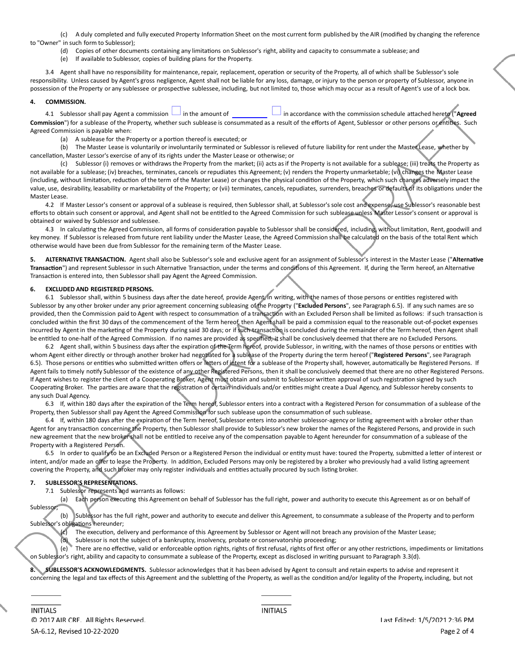(c) A duly completed and fully executed Property Information Sheet on the most current form published by the AIR (modified by changing the reference to "Owner" in such form to Sublessor);

- (d) Copies of other documents containing any limitations on Sublessor's right, ability and capacity to consummate a sublease; and
- (e) If available to Sublessor, copies of building plans for the Property.

3.4 Agent shall have no responsibility for maintenance, repair, replacement, operation or security of the Property, all of which shall be Sublessor's sole responsibility. Unless caused by Agent's gross negligence, Agent shall not be liable for any loss, damage, or injury to the person or property of Sublessor, anyone in possession of the Property or any sublessee or prospective sublessee, including, but not limited to, those which may occur as a result of Agent's use of a lock box.

## **4. COMMISSION.**

4.1 Sublessor shall pay Agent a commission in the amount of in accordance with the commission schedule attached hereto ("**Agreed** Commission") for a sublease of the Property, whether such sublease is consummated as a result of the efforts of Agent, Sublessor or other persons or entities. Such Agreed Commission is payable when:

(a) A sublease for the Property or a portion thereof is executed; or

(b) The Master Lease is voluntarily or involuntarily terminated or Sublessor is relieved of future liability for rent under the Master Lease, whether by cancellation, Master Lessor's exercise of any of its rights under the Master Lease or otherwise; or

(c) Sublessor (i) removes or withdraws the Property from the market; (ii) acts as if the Property is not available for a sublease; (iii) treats the Property as not available for a sublease; (iv) breaches, terminates, cancels or repudiates this Agreement; (v) renders the Property unmarketable; (vi) changes the Master Lease (including, without limitation, reduction of the term of the Master Lease) or changes the physical condition of the Property, which such changes adversely impact the value, use, desirability, leasability or marketability of the Property; or (vii) terminates, cancels, repudiates, surrenders, breaches or defaults of its obligations under the Master Lease.

4.2 If Master Lessor's consent or approval of a sublease is required, then Sublessor shall, at Sublessor'ssole cost and expense, use Sublessor's reasonable best efforts to obtain such consent or approval, and Agent shall not be entitled to the Agreed Commission for such sublease unless Master Lessor's consent or approval is obtained or waived by Sublessor and sublessee.

4.3 In calculating the Agreed Commission, all forms of consideration payable to Sublessor shall be considered, including, without limitation, Rent, goodwill and key money. If Sublessor isreleased from future rent liability under the Master Lease, the Agreed Commission shall be calculated on the basis of the total Rent which otherwise would have been due from Sublessor for the remaining term of the Master Lease.

**5. ALTERNATIVE TRANSACTION.** Agent shall also be Sublessor's sole and exclusive agent for an assignment of Sublessor's interest in the Master Lease ("**AlternaƟve** Transaction") and represent Sublessor in such Alternative Transaction, under the terms and conditions of this Agreement. If, during the Term hereof, an Alternative Transaction is entered into, then Sublessor shall pay Agent the Agreed Commission.

## **6. EXCLUDED AND REGISTERED PERSONS.**

6.1 Sublessor shall, within 5 business days after the date hereof, provide Agent, in writing, with the names of those persons or entities registered with Sublessor by any other broker under any prior agreement concerning subleasing of the Property ("**Excluded Persons**", see Paragraph 6.5). If any such names are so provided, then the Commission paid to Agent with respect to consummation of a transaction with an Excluded Person shall be limited as follows: if such transaction is concluded within the first 30 days of the commencement of the Term hereof, then Agent shall be paid a commission equal to the reasonable out-of-pocket expenses incurred by Agent in the marketing of the Property during said 30 days; or if such transaction is concluded during the remainder of the Term hereof, then Agent shall be entitled to one-half of the Agreed Commission. If no names are provided as specified, it shall be conclusively deemed that there are no Excluded Persons.

6.2 Agent shall, within 5 business days after the expiration of the Term hereof, provide Sublessor, in writing, with the names of those persons or entities with whom Agent either directly or through another broker had negotiated for a sublease of the Property during the term hereof ("Registered Persons", see Paragraph 6.5). Those persons or entities who submitted written offers or letters of intent for a sublease of the Property shall, however, automatically be Registered Persons. If Agent fails to timely notify Sublessor of the existence of any other Registered Persons, then it shall be conclusively deemed that there are no other Registered Persons. If Agent wishes to register the client of a Cooperating Broker, Agent must obtain and submit to Sublessor written approval of such registration signed by such Cooperating Broker. The parties are aware that the registration of certain individuals and/or entities might create a Dual Agency, and Sublessor hereby consents to any such Dual Agency.

6.3 If, within 180 days after the expiration of the Term hereof, Sublessor enters into a contract with a Registered Person for consummation of a sublease of the Property, then Sublessor shall pay Agent the Agreed Commission for such sublease upon the consummation of such sublease.

6.4 If, within 180 days after the expiration of the Term hereof, Sublessor enters into another sublessor-agency or listing agreement with a broker other than Agent for any transaction concerning the Property, then Sublessor shall provide to Sublessor's new broker the names of the Registered Persons, and provide in such new agreement that the new broker shall not be entitled to receive any of the compensation payable to Agent hereunder for consummation of a sublease of the Property with a Registered Person.

6.5 In order to qualify to be an Excluded Person or a Registered Person the individual or entity must have: toured the Property, submitted a letter of interest or intent, and/or made an offer to lease the Property. In addition, Excluded Persons may only be registered by a broker who previously had a valid listing agreement covering the Property, and such broker may only register individuals and entities actually procured by such listing broker.

## **7. SUBLESSOR'S REPRESENTATIONS.**

7.1 Sublessor represents and warrants as follows:

(a) Each person executing this Agreement on behalf of Sublessor has the full right, power and authority to execute this Agreement as or on behalf of Sublessor

(b) Sublessor has the full right, power and authority to execute and deliver this Agreement, to consummate a sublease of the Property and to perform Sublessor's obligations hereunder;

(c) The execuƟon, delivery and performance of this Agreement by Sublessor or Agent will not breach any provision of the Master Lease;

(d) Sublessor is not the subject of a bankruptcy, insolvency, probate or conservatorship proceeding;

(e) There are no effective, valid or enforceable option rights, rights of first refusal, rights of first offer or any other restrictions, impediments or limitations on Sublessor's right, ability and capacity to consummate a sublease of the Property, except as disclosed in writing pursuant to Paragraph 3.3(d).

**8. SUBLESSOR'S ACKNOWLEDGMENTS.** Sublessor acknowledges that it has been advised by Agent to consult and retain experts to advise and represent it concerning the legal and tax effects of this Agreement and the subletting of the Property, as well as the condition and/or legality of the Property, including, but not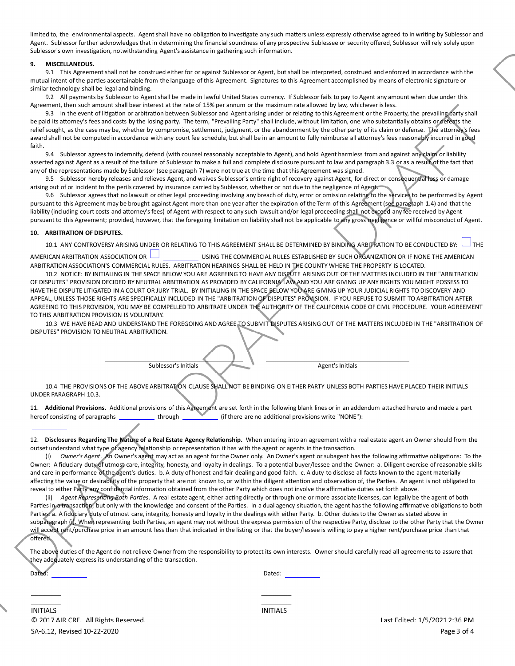limited to, the environmental aspects. Agent shall have no obligation to investigate any such matters unless expressly otherwise agreed to in writing by Sublessor and Agent. Sublessor further acknowledges that in determining the financial soundness of any prospective Sublessee or security offered, Sublessor will rely solely upon Sublessor's own investigation, notwithstanding Agent's assistance in gathering such information.

### **9. MISCELLANEOUS.**

9.1 This Agreementshall not be construed either for or against Sublessor or Agent, but shall be interpreted, construed and enforced in accordance with the mutual intent of the parties ascertainable from the language of this Agreement. Signatures to this Agreement accomplished by means of electronic signature or similar technology shall be legal and binding.

9.2 All payments by Sublessor to Agent shall be made in lawful United States currency. If Sublessor fails to pay to Agent any amount when due under this Agreement, then such amount shall bear interest at the rate of 15% per annum or the maximum rate allowed by law, whichever isless.

9.3 In the event of litigation or arbitration between Sublessor and Agent arising under or relating to this Agreement or the Property, the prevailing party shall be paid its attorney's fees and costs by the losing party. The term, "Prevailing Party" shall include, without limitation, one who substantially obtains or defeats the relief sought, as the case may be, whether by compromise, settlement, judgment, or the abandonment by the other party of its claim or defense. The attorney's fees award shall not be computed in accordance with any court fee schedule, but shall be in an amount to fully reimburse all attorney's fees reasonably incurred in good faith.

9.4 Sublessor agreesto indemnify, defend (with counsel reasonably acceptable to Agent), and hold Agent harmless from and against any claim or liability asserted against Agent as a result of the failure of Sublessor to make a full and complete disclosure pursuant to law and paragraph 3.3 or as a result of the fact that any of the representations made by Sublessor (see paragraph 7) were not true at the time that this Agreement was signed.

9.5 Sublessor hereby releases and relieves Agent, and waives Sublessor's entire right of recovery against Agent, for direct or consequential loss or damage arising out of or incident to the perils covered by insurance carried by Sublessor, whether or not due to the negligence of Agent.

9.6 Sublessor agrees that no lawsuit or other legal proceeding involving any breach of duty, error or omission relating to the services to be performed by Agent pursuant to this Agreement may be brought against Agent more than one year after the expiration of the Term of this Agreement (see paragraph 1.4) and that the liability (including court costs and attorney's fees) of Agent with respect to any such lawsuit and/or legal proceeding shall not exceed any fee received by Agent pursuant to this Agreement; provided, however, that the foregoing limitation on liability shall not be applicable to any gross negligence or willful misconduct of Agent.

#### **10. ARBITRATION OF DISPUTES.**

10.1 ANY CONTROVERSY ARISING UNDER OR RELATING TO THIS AGREEMENT SHALL BE DETERMINED BY BINDING ARBITRATION TO BE CONDUCTED BY: THE

AMERICAN ARBITRATION ASSOCIATION OR USING THE COMMERCIAL RULES ESTABLISHED BY SUCH ORGANIZATION OR IF NONE THE AMERICAN ARBITRATION ASSOCIATION'S COMMERCIAL RULES. ARBITRATION HEARINGS SHALL BE HELD IN THE COUNTY WHERE THE PROPERTY IS LOCATED.

10.2 NOTICE: BY INITIALING IN THE SPACE BELOW YOU ARE AGREEING TO HAVE ANY DISPUTE ARISING OUT OF THE MATTERS INCLUDED IN THE "ARBITRATION OF DISPUTES" PROVISION DECIDED BY NEUTRAL ARBITRATION AS PROVIDED BY CALIFORNIA LAW AND YOU ARE GIVING UP ANY RIGHTS YOU MIGHT POSSESS TO HAVE THE DISPUTE LITIGATED IN A COURT OR JURY TRIAL. BY INITIALING IN THE SPACE BELOW YOU ARE GIVING UP YOUR JUDICIAL RIGHTS TO DISCOVERY AND APPEAL, UNLESS THOSE RIGHTS ARE SPECIFICALLY INCLUDED IN THE "ARBITRATION OF DISPUTES" PROVISION. IF YOU REFUSE TO SUBMIT TO ARBITRATION AFTER AGREEING TO THIS PROVISION, YOU MAY BE COMPELLED TO ARBITRATE UNDER THE AUTHORITY OF THE CALIFORNIA CODE OF CIVIL PROCEDURE. YOUR AGREEMENT TO THIS ARBITRATION PROVISION IS VOLUNTARY.

10.3 WE HAVE READ AND UNDERSTAND THE FOREGOING AND AGREE TO SUBMIT DISPUTES ARISING OUT OF THE MATTERS INCLUDED IN THE "ARBITRATION OF DISPUTES" PROVISION TO NEUTRAL ARBITRATION.

Sublessor's Initials **Agent's Initials** Agent's Initials

10.4 THE PROVISIONS OF THE ABOVE ARBITRATION CLAUSE SHALL NOT BE BINDING ON EITHER PARTY UNLESS BOTH PARTIES HAVE PLACED THEIR INITIALS UNDER PARAGRAPH 10.3.

11. Additional Provisions. Additional provisions of this Agreement are set forth in the following blank lines or in an addendum attached hereto and made a part hereof consisting of paragraphs \_\_\_\_\_\_\_\_\_\_\_\_\_through \\_\_\_\_\_\_\_\_\_\_\_\_\_(if there are no additional provisions write "NONE"):

12. Disclosures Regarding The Nature of a Real Estate Agency Relationship. When entering into an agreement with a real estate agent an Owner should from the outset understand what type of agency relationship or representation it has with the agent or agents in the transaction.

(i) Owner's Agent. An Owner's agent may act as an agent for the Owner only. An Owner's agent or subagent has the following affirmative obligations: To the Owner: A fiduciary duty of utmost care, integrity, honesty, and loyalty in dealings. To a potential buyer/lessee and the Owner: a. Diligent exercise of reasonable skills and care in performance of the agent's duties. b. A duty of honest and fair dealing and good faith. c. A duty to disclose all facts known to the agent materially affecting the value or desirability of the property that are not known to, or within the diligent attention and observation of, the Parties. An agent is not obligated to reveal to either Party any confidential information obtained from the other Party which does not involve the affirmative duties set forth above.

(ii) Agent Representing Both Parties. A real estate agent, either acting directly or through one or more associate licenses, can legally be the agent of both Parties in a transaction, but only with the knowledge and consent of the Parties. In a dual agency situation, the agent has the following affirmative obligations to both Parties: a. A fiduciary duty of utmost care, integrity, honesty and loyalty in the dealings with either Party. b. Other duties to the Owner as stated above in subparagraph (i). When representing both Parties, an agent may not without the express permission of the respective Party, disclose to the other Party that the Owner will accept rent/purchase price in an amount less than that indicated in the listing or that the buyer/lessee is willing to pay a higher rent/purchase price than that offered.

The above duties of the Agent do not relieve Owner from the responsibility to protect its own interests. Owner should carefully read all agreements to assure that they adequately express its understanding of the transaction.

| Dated: |  |  | Dated: |
|--------|--|--|--------|
|        |  |  |        |

**INITIALS** C 2017 AIR CRE. All Rights Reserved. SA-6.12, Revised 10-22-2020

**INITIALS** 

Last Edited: 1/5/2021 2:36 PM Page 3 of 4